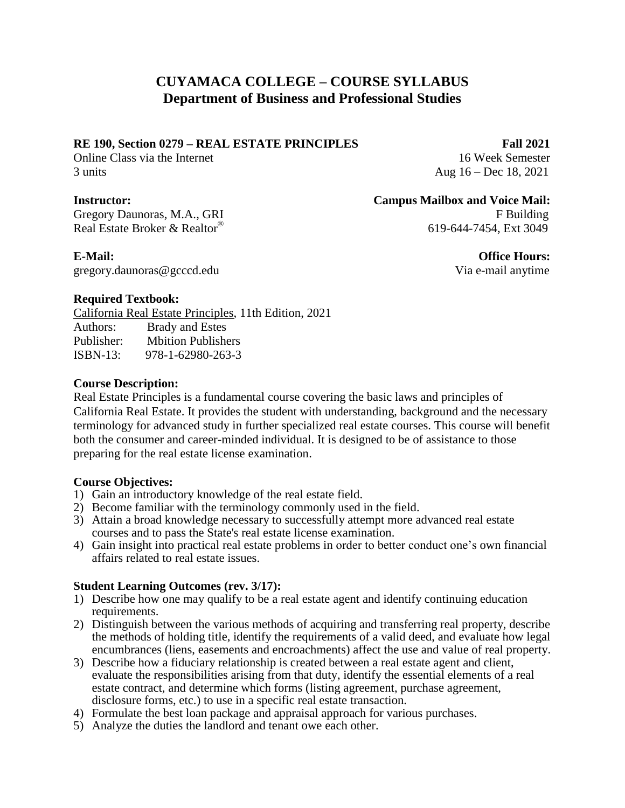# **CUYAMACA COLLEGE – COURSE SYLLABUS Department of Business and Professional Studies**

#### **RE 190, Section 0279 – REAL ESTATE PRINCIPLES Fall 2021**

Online Class via the Internet 16 Week Semester 3 units Aug 16 – Dec 18, 2021

Gregory Daunoras, M.A., GRI F Building Real Estate Broker & Realtor®

gregory.daunoras@gcccd.edu Via e-mail anytime

## **Instructor: Campus Mailbox and Voice Mail:**

619-644-7454, Ext 3049

**E-Mail: Office Hours:** 

### **Required Textbook:**

California Real Estate Principles, 11th Edition, 2021 Authors: Brady and Estes Publisher: Mbition Publishers ISBN-13: 978-1-62980-263-3

#### **Course Description:**

Real Estate Principles is a fundamental course covering the basic laws and principles of California Real Estate. It provides the student with understanding, background and the necessary terminology for advanced study in further specialized real estate courses. This course will benefit both the consumer and career-minded individual. It is designed to be of assistance to those preparing for the real estate license examination.

### **Course Objectives:**

- 1) Gain an introductory knowledge of the real estate field.
- 2) Become familiar with the terminology commonly used in the field.
- 3) Attain a broad knowledge necessary to successfully attempt more advanced real estate courses and to pass the State's real estate license examination.
- 4) Gain insight into practical real estate problems in order to better conduct one's own financial affairs related to real estate issues.

### **Student Learning Outcomes (rev. 3/17):**

- 1) Describe how one may qualify to be a real estate agent and identify continuing education requirements.
- 2) Distinguish between the various methods of acquiring and transferring real property, describe the methods of holding title, identify the requirements of a valid deed, and evaluate how legal encumbrances (liens, easements and encroachments) affect the use and value of real property.
- 3) Describe how a fiduciary relationship is created between a real estate agent and client, evaluate the responsibilities arising from that duty, identify the essential elements of a real estate contract, and determine which forms (listing agreement, purchase agreement, disclosure forms, etc.) to use in a specific real estate transaction.
- 4) Formulate the best loan package and appraisal approach for various purchases.
- 5) Analyze the duties the landlord and tenant owe each other.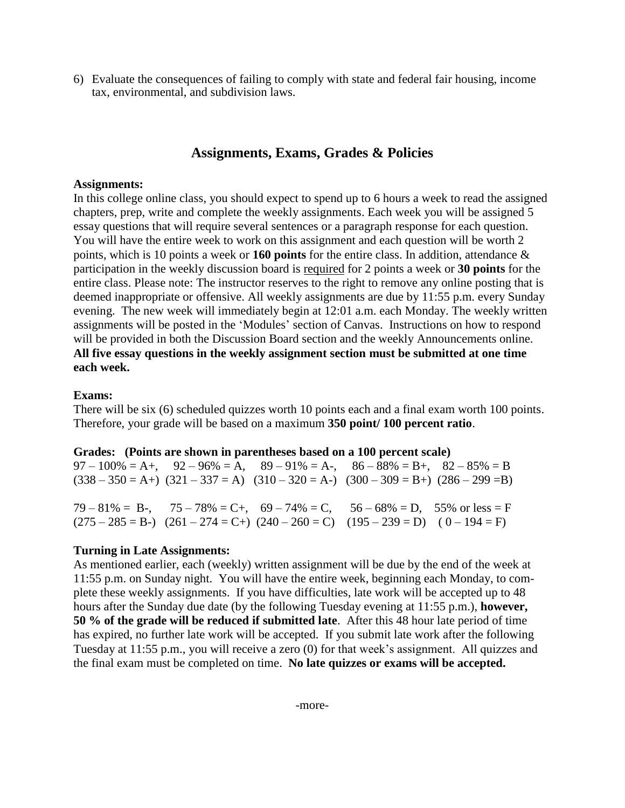6) Evaluate the consequences of failing to comply with state and federal fair housing, income tax, environmental, and subdivision laws.

# **Assignments, Exams, Grades & Policies**

#### **Assignments:**

In this college online class, you should expect to spend up to 6 hours a week to read the assigned chapters, prep, write and complete the weekly assignments. Each week you will be assigned 5 essay questions that will require several sentences or a paragraph response for each question. You will have the entire week to work on this assignment and each question will be worth 2 points, which is 10 points a week or **160 points** for the entire class. In addition, attendance & participation in the weekly discussion board is required for 2 points a week or **30 points** for the entire class. Please note: The instructor reserves to the right to remove any online posting that is deemed inappropriate or offensive. All weekly assignments are due by 11:55 p.m. every Sunday evening. The new week will immediately begin at 12:01 a.m. each Monday. The weekly written assignments will be posted in the 'Modules' section of Canvas. Instructions on how to respond will be provided in both the Discussion Board section and the weekly Announcements online. **All five essay questions in the weekly assignment section must be submitted at one time each week.**

#### **Exams:**

There will be six (6) scheduled quizzes worth 10 points each and a final exam worth 100 points. Therefore, your grade will be based on a maximum **350 point/ 100 percent ratio**.

#### **Grades: (Points are shown in parentheses based on a 100 percent scale)**

 $97 - 100\% = A +$ ,  $92 - 96\% = A$ ,  $89 - 91\% = A -$ ,  $86 - 88\% = B +$ ,  $82 - 85\% = B$  $(338 - 350 = A+)$   $(321 - 337 = A)$   $(310 - 320 = A-)$   $(300 - 309 = B+)$   $(286 - 299 = B)$  $79 - 81\% = B$ ,  $75 - 78\% = C$ ,  $69 - 74\% = C$ ,  $56 - 68\% = D$ ,  $55\%$  or less  $= F$  $(275 - 285 = B)$   $(261 - 274 = C)$   $(240 - 260 = C)$   $(195 - 239 = D)$   $(0 - 194 = F)$ 

#### **Turning in Late Assignments:**

As mentioned earlier, each (weekly) written assignment will be due by the end of the week at 11:55 p.m. on Sunday night. You will have the entire week, beginning each Monday, to complete these weekly assignments. If you have difficulties, late work will be accepted up to 48 hours after the Sunday due date (by the following Tuesday evening at 11:55 p.m.), **however, 50 % of the grade will be reduced if submitted late**. After this 48 hour late period of time has expired, no further late work will be accepted. If you submit late work after the following Tuesday at 11:55 p.m., you will receive a zero (0) for that week's assignment. All quizzes and the final exam must be completed on time. **No late quizzes or exams will be accepted.**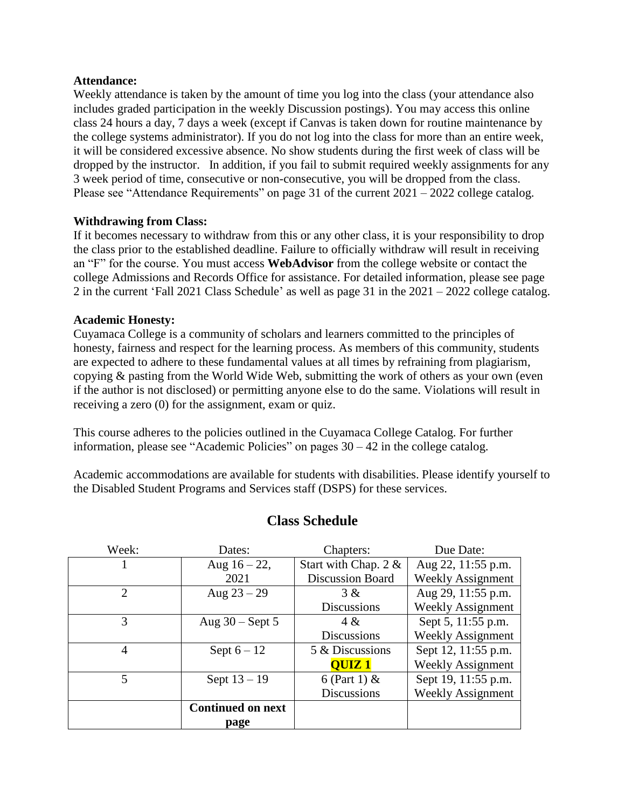#### **Attendance:**

Weekly attendance is taken by the amount of time you log into the class (your attendance also includes graded participation in the weekly Discussion postings). You may access this online class 24 hours a day, 7 days a week (except if Canvas is taken down for routine maintenance by the college systems administrator). If you do not log into the class for more than an entire week, it will be considered excessive absence. No show students during the first week of class will be dropped by the instructor. In addition, if you fail to submit required weekly assignments for any 3 week period of time, consecutive or non-consecutive, you will be dropped from the class. Please see "Attendance Requirements" on page 31 of the current  $2021 - 2022$  college catalog.

#### **Withdrawing from Class:**

If it becomes necessary to withdraw from this or any other class, it is your responsibility to drop the class prior to the established deadline. Failure to officially withdraw will result in receiving an "F" for the course. You must access **WebAdvisor** from the college website or contact the college Admissions and Records Office for assistance. For detailed information, please see page 2 in the current 'Fall 2021 Class Schedule' as well as page 31 in the 2021 – 2022 college catalog.

#### **Academic Honesty:**

Cuyamaca College is a community of scholars and learners committed to the principles of honesty, fairness and respect for the learning process. As members of this community, students are expected to adhere to these fundamental values at all times by refraining from plagiarism, copying & pasting from the World Wide Web, submitting the work of others as your own (even if the author is not disclosed) or permitting anyone else to do the same. Violations will result in receiving a zero (0) for the assignment, exam or quiz.

This course adheres to the policies outlined in the Cuyamaca College Catalog. For further information, please see "Academic Policies" on pages 30 – 42 in the college catalog.

Academic accommodations are available for students with disabilities. Please identify yourself to the Disabled Student Programs and Services staff (DSPS) for these services.

| Week: | Dates:                   | Chapters:               | Due Date:                |
|-------|--------------------------|-------------------------|--------------------------|
|       | Aug $16 - 22$ ,          | Start with Chap. 2 &    | Aug 22, 11:55 p.m.       |
|       | 2021                     | <b>Discussion Board</b> | <b>Weekly Assignment</b> |
| 2     | Aug $23 - 29$            | 3 &                     | Aug 29, 11:55 p.m.       |
|       |                          | <b>Discussions</b>      | <b>Weekly Assignment</b> |
| 3     | Aug $30$ – Sept 5        | $4 \&$                  | Sept 5, 11:55 p.m.       |
|       |                          | <b>Discussions</b>      | <b>Weekly Assignment</b> |
| 4     | Sept $6 - 12$            | 5 & Discussions         | Sept 12, 11:55 p.m.      |
|       |                          | <b>OUIZ1</b>            | <b>Weekly Assignment</b> |
| 5     | Sept $13 - 19$           | 6 (Part 1) $&$          | Sept 19, 11:55 p.m.      |
|       |                          | <b>Discussions</b>      | <b>Weekly Assignment</b> |
|       | <b>Continued on next</b> |                         |                          |
|       | page                     |                         |                          |

# **Class Schedule**